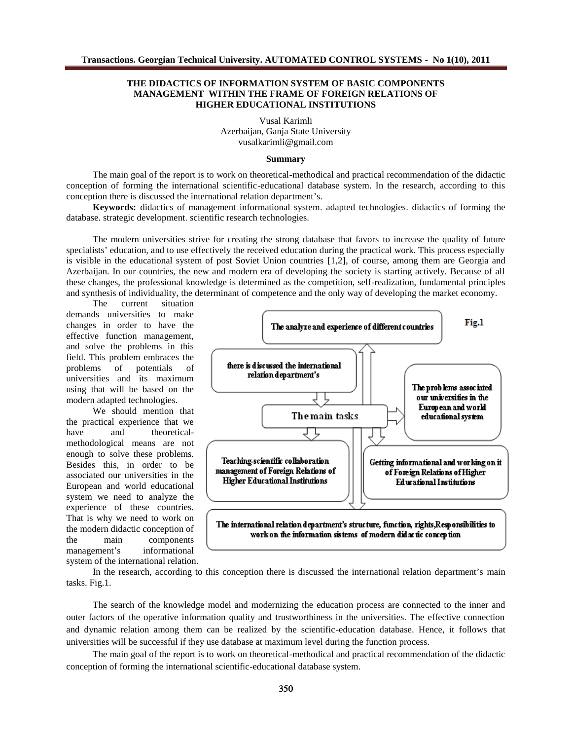## THE DIDACTICS OF INFORMATION SYSTEM OF BASIC COMPONENTS MANAGEMENT WITHIN THE FRAME OF FOREIGN RELATIONS OF HIGHER EDUCATIONAL INSTITUTIONS

Vusal Karimli Azerbaijan,Ganja State University [vusalkarimli@gmail.com](mailto:vusalkarimli@gmail.com)

**Summary** 

The main goal of the report is work on theoretical methodical and practical recommendation of the didactic conception of forming the international scientifiducational database system. In the research, according to this conception there is discussed the international relation to the patr€s.

Keywords: didactics of management informational systerdapted technologieslidactics of forming the databasestrategic developmensidentific research technologies.

The modern universities strive for creating the strong database that **favors** ease the quality of future specialists€ education, and to use effectively the received education during the practical work. This process especially is visible in the educational system of post Soviet Union countries, of course, among them aceorgia and Azerbaijan. In our countries, the new and modern era of developing the society is starting actively. Because of all these changes, the professional knowledge is determined as the competition, fundamental principles and syntheis of individuality, the determinant of competence and the only way of developing the market economy.

The current situation demands universities to make changes in order to have the effective function management, and solve the problems in this field. This problem embraces the<br>problems of potentials of problems of potentials of universities and its maximum using that will be based on the modern adapted technologies.

We should mention that the practical experience that we have and theoretical methodological means are not enough to skye these problems. Besides this, in order to be associated our universities in the European and world educational system we need to analyze the experience of these countries. That is why we need to work on the modern didactic conception of the main compoents management€s informational system of the international relation.

In the research, according to this conception there is discussed the untertional relation department <del>€</del> tasks Fig.1.

The search of the knowledge model and modernizing the eduqatiocess are connected to the inner and outer factors of the operative information quality and trustworthiness in the universities. The effective connection and dynamic relation among them can be realized by the scienditication database. Hence, ollows that universities will be successful if they use database at maximum level during the function process.

The main goal of the report is to work on theoretical theodical and practical recommendation of the didactic conception of forming the ternational scientificeducational database system.